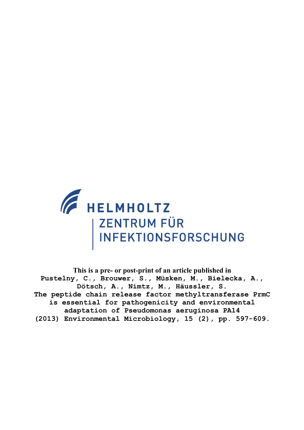

**This is a pre- or post-print of an article published in Pustelny, C., Brouwer, S., Müsken, M., Bielecka, A., Dötsch, A., Nimtz, M., Häussler, S. The peptide chain release factor methyltransferase PrmC is essential for pathogenicity and environmental adaptation of Pseudomonas aeruginosa PA14 (2013) Environmental Microbiology, 15 (2), pp. 597-609.**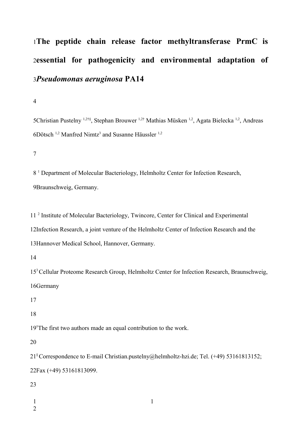# **The peptide chain release factor methyltransferase PrmC is** 1 **essential for pathogenicity and environmental adaptation of** 2 *Pseudomonas aeruginosa* **PA14** 3

4

5Christian Pustelny <sup>1,2†§</sup>, Stephan Brouwer <sup>1,2†</sup> Mathias Müsken <sup>1,2</sup>, Agata Bielecka <sup>1,2</sup>, Andreas  $6D$ ötsch<sup>1,2</sup> Manfred Nimtz<sup>3</sup> and Susanne Häussler<sup>1,2</sup>

7

8<sup>1</sup> Department of Molecular Bacteriology, Helmholtz Center for Infection Research, 9 Braunschweig, Germany.

11<sup>2</sup> Institute of Molecular Bacteriology, Twincore, Center for Clinical and Experimental 12Infection Research, a joint venture of the Helmholtz Center of Infection Research and the 13Hannover Medical School, Hannover, Germany.

14

15<sup>3</sup> Cellular Proteome Research Group, Helmholtz Center for Infection Research, Braunschweig, 16Germany

17

18

19<sup>†</sup>The first two authors made an equal contribution to the work.

20

21<sup>§</sup> Correspondence to E-mail Christian.pustelny@helmholtz-hzi.de; Tel. (+49) 53161813152; 22Fax (+49) 53161813099.

1

- 1
- 2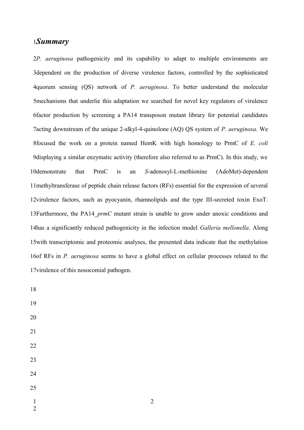# *Summary* 1

2P. *aeruginosa* pathogenicity and its capability to adapt to multiple environments are 3dependent on the production of diverse virulence factors, controlled by the sophisticated quorum sensing (QS) network of *P. aeruginosa*. To better understand the molecular 4 5 mechanisms that underlie this adaptation we searched for novel key regulators of virulence factor production by screening a PA14 transposon mutant library for potential candidates 6 7 acting downstream of the unique 2-alkyl-4-quinolone (AQ) QS system of *P. aeruginosa*. We focused the work on a protein named HemK with high homology to PrmC of *E. coli* 8 9displaying a similar enzymatic activity (therefore also referred to as PrmC). In this study, we demonstrate that PrmC is an *S*-adenosyl-L-methionine (AdoMet)-dependent 11 methyltransferase of peptide chain release factors (RFs) essential for the expression of several 12 virulence factors, such as pyocyanin, rhamnolipids and the type III-secreted toxin ExoT. 13Furthermore, the PA14\_prmC mutant strain is unable to grow under anoxic conditions and 14has a significantly reduced pathogenicity in the infection model *Galleria mellonella*. Along 15 with transcriptomic and proteomic analyses, the presented data indicate that the methylation 16of RFs in *P. aeruginosa* seems to have a global effect on cellular processes related to the 17 virulence of this nosocomial pathogen. 10demonstrate

2

18

19

- 20
- 21
- 22

- 24
- 
- 25
- 1
- 2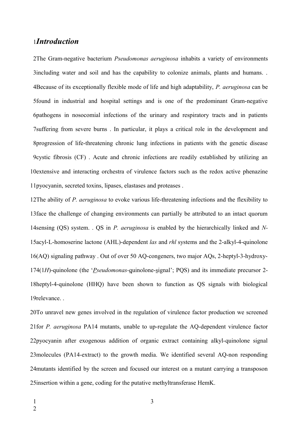# *Introduction*  1

The Gram-negative bacterium *Pseudomonas aeruginosa* inhabits a variety of environments 2 3including water and soil and has the capability to colonize animals, plants and humans. . Because of its exceptionally flexible mode of life and high adaptability, *P. aeruginosa* can be 4 5 found in industrial and hospital settings and is one of the predominant Gram-negative pathogens in nosocomial infections of the urinary and respiratory tracts and in patients 6 7suffering from severe burns. In particular, it plays a critical role in the development and 8progression of life-threatening chronic lung infections in patients with the genetic disease 9 cystic fibrosis (CF). Acute and chronic infections are readily established by utilizing an 10 extensive and interacting orchestra of virulence factors such as the redox active phenazine 11 pyocyanin, secreted toxins, lipases, elastases and proteases.

12The ability of *P. aeruginosa* to evoke various life-threatening infections and the flexibility to 13 face the challenge of changing environments can partially be attributed to an intact quorum 14 sensing (QS) system. . QS in *P. aeruginosa* is enabled by the hierarchically linked and *N*-15acyl-L-homoserine lactone (AHL)-dependent *las* and *rhl* systems and the 2-alkyl-4-quinolone (AQ) signaling pathway . Out of over 50 AQ-congeners, two major AQs, 2-heptyl-3-hydroxy-16 174(1H)-quinolone (the '*Pseudomonas*-quinolone-signal'; PQS) and its immediate precursor 2-18heptyl-4-quinolone (HHQ) have been shown to function as QS signals with biological 19relevance. .

20To unravel new genes involved in the regulation of virulence factor production we screened 21 for *P. aeruginosa* PA14 mutants, unable to up-regulate the AQ-dependent virulence factor 22pyocyanin after exogenous addition of organic extract containing alkyl-quinolone signal 23 molecules (PA14-extract) to the growth media. We identified several AQ-non responding 24 mutants identified by the screen and focused our interest on a mutant carrying a transposon 25 insertion within a gene, coding for the putative methyltransferase HemK.

- 1
- 2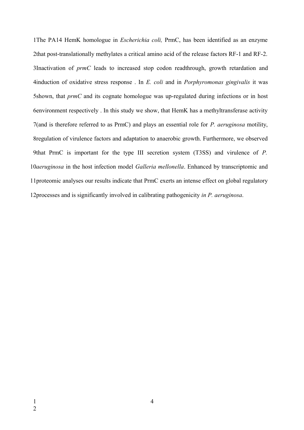The PA14 HemK homologue in *Escherichia coli,* PrmC, has been identified as an enzyme 1 2that post-translationally methylates a critical amino acid of the release factors RF-1 and RF-2. Inactivation of *prmC* leads to increased stop codon readthrough, growth retardation and 3 induction of oxidative stress response . In *E. coli* and in *Porphyromonas gingivalis* it was 4 shown, that *prmC* and its cognate homologue was up-regulated during infections or in host 5 environment respectively . In this study we show, that HemK has a methyltransferase activity 6 7(and is therefore referred to as PrmC) and plays an essential role for *P. aeruginosa* motility, 8regulation of virulence factors and adaptation to anaerobic growth. Furthermore, we observed 9that PrmC is important for the type III secretion system (T3SS) and virulence of *P*. 10aeruginosa in the host infection model *Galleria mellonella*. Enhanced by transcriptomic and 11 proteomic analyses our results indicate that PrmC exerts an intense effect on global regulatory 12processes and is significantly involved in calibrating pathogenicity in P. aeruginosa.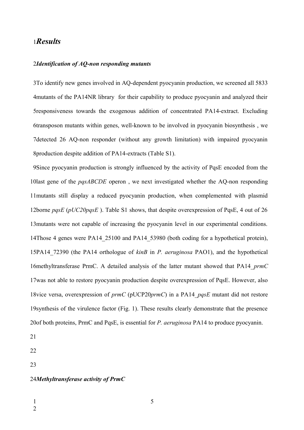# *Results* 1

#### *Identification of AQ-non responding mutants*  2

To identify new genes involved in AQ-dependent pyocyanin production, we screened all 5833 3 mutants of the PA14NR library for their capability to produce pyocyanin and analyzed their 4 5responsiveness towards the exogenous addition of concentrated PA14-extract. Excluding transposon mutants within genes, well-known to be involved in pyocyanin biosynthesis , we 6 7detected 26 AQ-non responder (without any growth limitation) with impaired pyocyanin 8production despite addition of PA14-extracts (Table S1).

Since pyocyanin production is strongly influenced by the activity of PqsE encoded from the 9 10last gene of the *pqsABCDE* operon, we next investigated whether the AQ-non responding 11 mutants still display a reduced pyocyanin production, when complemented with plasmid 12borne *pqsE* (*pUC20pqsE*). Table S1 shows, that despite overexpression of PqsE, 4 out of 26 13 mutants were not capable of increasing the pyocyanin level in our experimental conditions. 14Those 4 genes were PA14\_25100 and PA14\_53980 (both coding for a hypothetical protein), 15PA14 72390 (the PA14 orthologue of *kinB* in *P. aeruginosa* PAO1), and the hypothetical 16 methyltransferase PrmC. A detailed analysis of the latter mutant showed that PA14\_prmC 17 was not able to restore pyocyanin production despite overexpression of PqsE. However, also 18vice versa, overexpression of *prmC* (pUCP20*prmC*) in a PA14\_pqsE mutant did not restore 19 synthesis of the virulence factor (Fig. 1). These results clearly demonstrate that the presence 20 of both proteins, PrmC and PqsE, is essential for *P. aeruginosa* PA14 to produce pyocyanin.

21

22

23

#### *Methyltransferase activity of PrmC*  24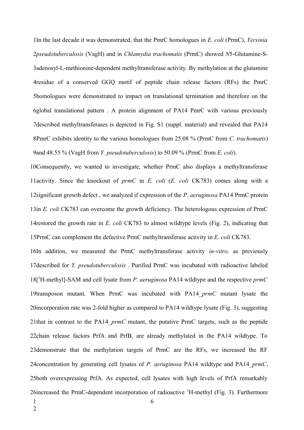In the last decade it was demonstrated, that the PmrC homologues in *E. coli* (PrmC), *Yersinia* 1 *pseudotuberculosis* (VagH) and in *Chlamydia trachomatis* (PrmC) showed *N*5-Glutamine-S-2 3adenosyl-L-methionine-dependent methyltransferase activity. By methylation at the glutamine residue of a conserved GGQ motif of peptide chain release factors (RFs) the PmrC 4 homologues were demonstrated to impact on translational termination and therefore on the 5 global translational pattern . A protein alignment of PA14 PmrC with various previously 6 7described methyltransferases is depicted in Fig. S1 (suppl. material) and revealed that PA14 PmrC exhibits identity to the various homologues from 25.08 % (PrmC from *C. trachomatis*) 8 9 and 48.55 % (VagH from *Y. pseudotuberculosis*) to 50.09 % (PrmC from *E. coli*).

10Consequently, we wanted to investigate, whether PrmC also displays a methyltransferase 11activity. Since the knockout of *prmC* in *E. coli* (*E. coli* CK783) comes along with a 12 significant growth defect, we analyzed if expression of the *P. aeruginosa* PA14 PrmC protein 13in *E. coli* CK783 can overcome the growth deficiency. The heterologous expression of PrmC 14 restored the growth rate in *E. coli* CK783 to almost wildtype levels (Fig. 2), indicating that 15PrmC can complement the defective PrmC methyltransferase activity in *E. coli* CK783.

16In addition, we measured the PrmC methyltransferase activity *in-vitro*, as previously 17 described for *Y. pseudotuberculosis*. Purified PrmC was incubated with radioactive labeled 18<sup>[3</sup>H-methyl]-SAM and cell lysate from *P. aeruginosa* PA14 wildtype and the respective *prmC* 19transposon mutant. When PrmC was incubated with PA14\_prmC mutant lysate the 20incorporation rate was 2-fold higher as compared to PA14 wildtype lysate (Fig. 3), suggesting 21that in contrast to the PA14\_*prmC* mutant, the putative PrmC targets, such as the peptide 22 chain release factors PrfA and PrfB, are already methylated in the PA14 wildtype. To 23 demonstrate that the methylation targets of PrmC are the RFs, we increased the RF 24 concentration by generating cell lysates of *P. aeruginosa* PA14 wildtype and PA14\_prmC, 25both overexpressing PrfA. As expected, cell lysates with high levels of PrfA remarkably 26 increased the PrmC-dependent incorporation of radioactive <sup>3</sup>H-methyl (Fig. 3). Furthermore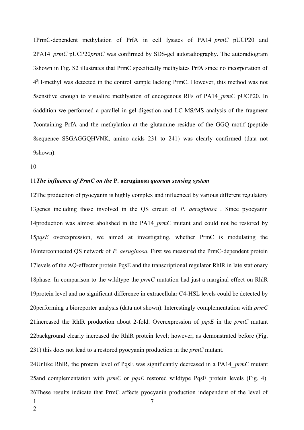PrmC-dependent methylation of PrfA in cell lysates of PA14\_*prmC* pUCP20 and 1 2PA14 *prmC* pUCP20*prmC* was confirmed by SDS-gel autoradiography. The autoradiogram shown in Fig. S2 illustrates that PrmC specifically methylates PrfA since no incorporation of 3 4<sup>3</sup>H-methyl was detected in the control sample lacking PrmC. However, this method was not sensitive enough to visualize methlyation of endogenous RFs of PA14\_*prmC* pUCP20. In 5 addition we performed a parallel in-gel digestion and LC-MS/MS analysis of the fragment 6 7 containing PrfA and the methylation at the glutamine residue of the GGQ motif (peptide sequence SSGAGGQHVNK, amino acids 231 to 241) was clearly confirmed (data not 8 shown). 9

10

#### *The influence of PrmC on the* **P. aeruginosa** *quorum sensing system*  11

12The production of pyocyanin is highly complex and influenced by various different regulatory 13 genes including those involved in the QS circuit of *P. aeruginosa*. Since pyocyanin 14production was almost abolished in the PA14\_prmC mutant and could not be restored by 15pqsE overexpression, we aimed at investigating, whether PrmC is modulating the 16interconnected QS network of *P. aeruginosa*. First we measured the PrmC-dependent protein 17 levels of the AQ-effector protein PqsE and the transcriptional regulator RhIR in late stationary 18phase. In comparison to the wildtype the *prmC* mutation had just a marginal effect on RhlR 19 protein level and no significant difference in extracellular C4-HSL levels could be detected by 20 performing a bioreporter analysis (data not shown). Interestingly complementation with *prmC* 21 increased the RhIR production about 2-fold. Overexpression of *pqsE* in the *prmC* mutant 22background clearly increased the RhIR protein level; however, as demonstrated before (Fig. 231) this does not lead to a restored pyocyanin production in the *prmC* mutant.

24 Unlike RhlR, the protein level of PqsE was significantly decreased in a PA14\_*prmC* mutant 25 and complementation with *prmC* or *pqsE* restored wildtype PqsE protein levels (Fig. 4). 26 These results indicate that PrmC affects pyocyanin production independent of the level of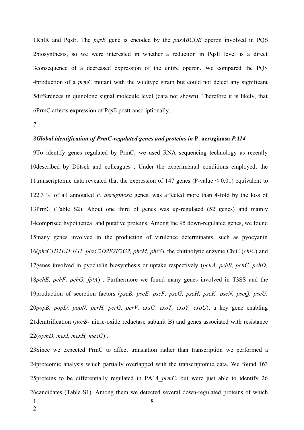RhlR and PqsE. The *pqsE* gene is encoded by the *pqsABCDE* operon involved in PQS 1 biosynthesis, so we were interested in whether a reduction in PqsE level is a direct 2 3 consequence of a decreased expression of the entire operon. We compared the PQS production of a *prmC* mutant with the wildtype strain but could not detect any significant 4 5differences in quinolone signal molecule level (data not shown). Therefore it is likely, that 6PrmC affects expression of PqsE posttranscriptionally.

7

#### *Global identification of PrmC-regulated genes and proteins in* **P. aeruginosa** *PA14* 8

9To identify genes regulated by PrmC, we used RNA sequencing technology as recently 10described by Dötsch and colleagues. Under the experimental conditions employed, the 11transcriptomic data revealed that the expression of 147 genes (P-value  $\leq 0.01$ ) equivalent to 2.3 % of all annotated *P. aeruginosa* genes, was affected more than 4-fold by the loss of 12 13PrmC (Table S2). About one third of genes was up-regulated (52 genes) and mainly 14 comprised hypothetical and putative proteins. Among the 95 down-regulated genes, we found 15many genes involved in the production of virulence determinants, such as pyocyanin (*phzC1D1E1F1G1, phzC2D2E2F2G2, phzM, phzS*), the chitinolytic enzyme ChiC (*chiC*) and 16 17 genes involved in pyochelin biosynthesis or uptake respectively (*pchA, pchB, pchC, pchD,* 18pchE, pchF, pchG, fptA). Furthermore we found many genes involved in T3SS and the 19production of secretion factors (pscB, pscE, pscF, pscG, pscH, pscK, pscN, pscQ, pscU, *popB, popD, popN, pcrH, pcrG, pcrV, exsC, exoT, exoY, exoU*), a key gene enabling 20 21 denitrification (norB- nitric-oxide reductase subunit B) and genes associated with resistance (*opmD, mexI, mexH, mexG*) . 22

23Since we expected PrmC to affect translation rather than transcription we performed a 24 proteomic analysis which partially overlapped with the transcriptomic data. We found 163 25 proteins to be differentially regulated in PA14\_*prmC*, but were just able to identify 26 26candidates (Table S1). Among them we detected several down-regulated proteins of which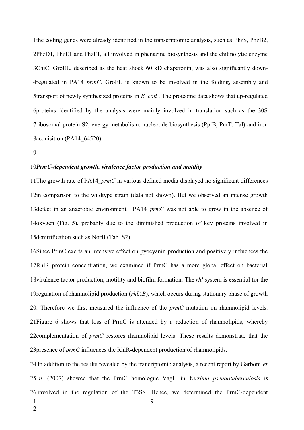the coding genes were already identified in the transcriptomic analysis, such as PhzS, PhzB2, 1 PhzD1, PhzE1 and PhzF1, all involved in phenazine biosynthesis and the chitinolytic enzyme 2 3ChiC. GroEL, described as the heat shock 60 kD chaperonin, was also significantly down-4regulated in PA14\_prmC. GroEL is known to be involved in the folding, assembly and 5transport of newly synthesized proteins in *E. coli*. The proteome data shows that up-regulated proteins identified by the analysis were mainly involved in translation such as the 30S 6 ribosomal protein S2, energy metabolism, nucleotide biosynthesis (PpiB, PurT, Tal) and iron 7 8acquisition (PA14\_64520).

9

#### 10PrmC-dependent growth, virulence factor production and motility

11The growth rate of PA14\_prmC in various defined media displayed no significant differences 12in comparison to the wildtype strain (data not shown). But we observed an intense growth 13 defect in an anaerobic environment. PA14\_prmC was not able to grow in the absence of 14oxygen (Fig. 5), probably due to the diminished production of key proteins involved in 15 denitrification such as NorB (Tab. S2).

16 Since PrmC exerts an intensive effect on pyocyanin production and positively influences the 17RhlR protein concentration, we examined if PrmC has a more global effect on bacterial 18 virulence factor production, motility and biofilm formation. The *rhl* system is essential for the 19 regulation of rhamnolipid production (*rhlAB*), which occurs during stationary phase of growth . Therefore we first measured the influence of the *prmC* mutation on rhamnolipid levels. 20 21 Figure 6 shows that loss of PrmC is attended by a reduction of rhamnolipids, whereby 22complementation of *prmC* restores rhamnolipid levels. These results demonstrate that the 23 presence of *prmC* influences the RhlR-dependent production of rhamnolipids.

24 In addition to the results revealed by the trancriptomic analysis, a recent report by Garbom et 25 al. (2007) showed that the PrmC homologue VagH in *Yersinia pseudotuberculosis* is 26 involved in the regulation of the T3SS. Hence, we determined the PrmC-dependent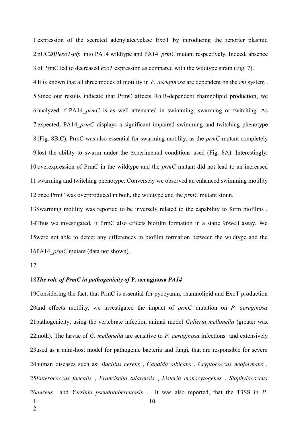1 expression of the secreted adenylatecyclase ExoT by introducing the reporter plasmid 2 pUC20*PexoT-gfp* into PA14 wildtype and PA14 *prmC* mutant respectively. Indeed, absence 3 of PrmC led to decreased *exoT* expression as compared with the wildtype strain (Fig. 7).

It is known that all three modes of motility in *P. aeruginosa* are dependent on the *rhl* system . 4 Since our results indicate that PrmC affects RhlR-dependent rhamnolipid production, we 5 6 analyzed if PA14\_prmC is as well attenuated in swimming, swarming or twitching. As 7 expected, PA14 *prmC* displays a significant impaired swimming and twitching phenotype (Fig. 8B;C). PrmC was also essential for swarming motility, as the *prmC* mutant completely 8 9 lost the ability to swarm under the experimental conditions used (Fig. 8A). Interestingly, 10 overexpression of PrmC in the wildtype and the *prmC* mutant did not lead to an increased 11 swarming and twitching phenotype. Conversely we observed an enhanced swimming motility 12 once PrmC was overproduced in both, the wildtype and the *prmC* mutant strain.

13Swarming motility was reported to be inversely related to the capability to form biofilms. 14Thus we investigated, if PrmC also effects biofilm formation in a static 96well assay. We 15 were not able to detect any differences in biofilm formation between the wildtype and the 16PA14\_*prmC* mutant (data not shown).

17

#### *The role of PrmC in pathogenicity of* **P. aeruginosa** *PA14* 18

19 Considering the fact, that PrmC is essential for pyocyanin, rhamnolipid and ExoT production 20and effects motility, we investigated the impact of *prmC* mutation on *P. aeruginosa* 21pathogenicity, using the vertebrate infection animal model *Galleria mellonella* (greater wax 22moth). The larvae of *G. mellonella* are sensitive to *P. aeruginosa* infections and extensively 23 used as a mini-host model for pathogenic bacteria and fungi, that are responsible for severe human diseases such as: *Bacillus cereus* , *Candida albicans* , *Cryptococcus neoformans ,* 24 *Enterococcus faecalis* , *Francisella tularensis* , *Listeria monocytogenes* , *Staphylococcus* 25 and *Yersinia pseudotuberculosis*. It was also reported, that the T3SS in *P*. 10 26*aureus* 1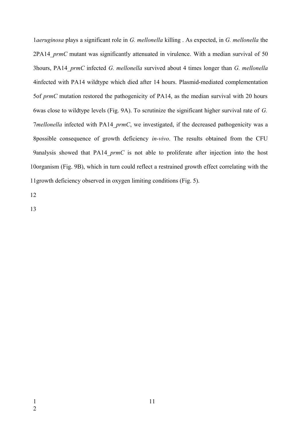*aeruginosa* plays a significant role in *G. mellonella* killing . As expected, in *G. mellonella* the 1 2PA14 *prmC* mutant was significantly attenuated in virulence. With a median survival of 50 hours, PA14\_*prmC* infected *G. mellonella* survived about 4 times longer than *G. mellonella* 3 4infected with PA14 wildtype which died after 14 hours. Plasmid-mediated complementation 5of *prmC* mutation restored the pathogenicity of PA14, as the median survival with 20 hours bwas close to wildtype levels (Fig. 9A). To scrutinize the significant higher survival rate of G. *mellonella* infected with PA14 *prmC*, we investigated, if the decreased pathogenicity was a possible consequence of growth deficiency *in-vivo*. The results obtained from the CFU 8 9analysis showed that PA14\_*prmC* is not able to proliferate after injection into the host 10organism (Fig. 9B), which in turn could reflect a restrained growth effect correlating with the 11 growth deficiency observed in oxygen limiting conditions (Fig. 5).

12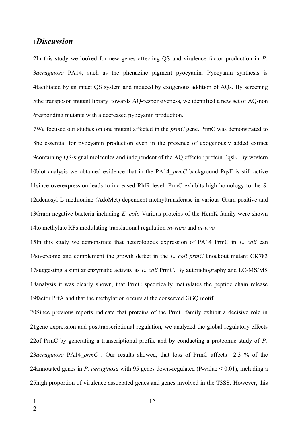# *Discussion* 1

In this study we looked for new genes affecting QS and virulence factor production in *P.* 2 *aeruginosa* PA14, such as the phenazine pigment pyocyanin. Pyocyanin synthesis is 3 facilitated by an intact QS system and induced by exogenous addition of AQs. By screening 4 5the transposon mutant library towards AQ-responsiveness, we identified a new set of AQ-non bresponding mutants with a decreased pyocyanin production.

We focused our studies on one mutant affected in the *prmC* gene. PrmC was demonstrated to 7 be essential for pyocyanin production even in the presence of exogenously added extract 8 9 containing QS-signal molecules and independent of the AQ effector protein PqsE. By western 10blot analysis we obtained evidence that in the PA14\_prmC background PqsE is still active 11 since overexpression leads to increased RhIR level. PrmC exhibits high homology to the S-12adenosyl-L-methionine (AdoMet)-dependent methyltransferase in various Gram-positive and 13Gram-negative bacteria including *E. coli.* Various proteins of the HemK family were shown to methylate RFs modulating translational regulation *in-vitro* and *in-vivo* . 14

15In this study we demonstrate that heterologous expression of PA14 PrmC in *E. coli* can 16overcome and complement the growth defect in the *E. coli prmC* knockout mutant CK783 17 suggesting a similar enzymatic activity as *E. coli* PrmC. By autoradiography and LC-MS/MS 18 analysis it was clearly shown, that PrmC specifically methylates the peptide chain release 19 factor PrfA and that the methylation occurs at the conserved GGQ motif.

20 Since previous reports indicate that proteins of the PrmC family exhibit a decisive role in 21 gene expression and posttranscriptional regulation, we analyzed the global regulatory effects 22of PrmC by generating a transcriptional profile and by conducting a proteomic study of *P*. 23*aeruginosa* PA14\_*prmC*. Our results showed, that loss of PrmC affects  $\sim$ 2.3 % of the 24annotated genes in *P. aeruginosa* with 95 genes down-regulated (P-value  $\leq 0.01$ ), including a 25 high proportion of virulence associated genes and genes involved in the T3SS. However, this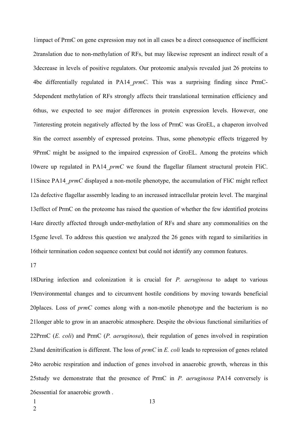impact of PrmC on gene expression may not in all cases be a direct consequence of inefficient 1 2translation due to non-methylation of RFs, but may likewise represent an indirect result of a 3 decrease in levels of positive regulators. Our proteomic analysis revealed just 26 proteins to be differentially regulated in PA14\_*prmC*. This was a surprising finding since PrmC-4 5dependent methylation of RFs strongly affects their translational termination efficiency and 6thus, we expected to see major differences in protein expression levels. However, one 7interesting protein negatively affected by the loss of PrmC was GroEL, a chaperon involved 8in the correct assembly of expressed proteins. Thus, some phenotypic effects triggered by PrmC might be assigned to the impaired expression of GroEL. Among the proteins which 9 10were up regulated in PA14 prmC we found the flagellar filament structural protein FliC. 11 Since PA14\_prmC displayed a non-motile phenotype, the accumulation of FliC might reflect 12a defective flagellar assembly leading to an increased intracellular protein level. The marginal 13 effect of PrmC on the proteome has raised the question of whether the few identified proteins 14are directly affected through under-methylation of RFs and share any commonalities on the 15 gene level. To address this question we analyzed the 26 genes with regard to similarities in 16 their termination codon sequence context but could not identify any common features.

#### 17

18During infection and colonization it is crucial for *P. aeruginosa* to adapt to various 19 environmental changes and to circumvent hostile conditions by moving towards beneficial 20places. Loss of *prmC* comes along with a non-motile phenotype and the bacterium is no 21longer able to grow in an anaerobic atmosphere. Despite the obvious functional similarities of 22PrmC (*E. coli*) and PrmC (*P. aeruginosa*), their regulation of genes involved in respiration 23 and denitrification is different. The loss of *prmC* in *E. coli* leads to repression of genes related 24to aerobic respiration and induction of genes involved in anaerobic growth, whereas in this 25study we demonstrate that the presence of PrmC in *P. aeruginosa* PA14 conversely is 26 essential for anaerobic growth.

1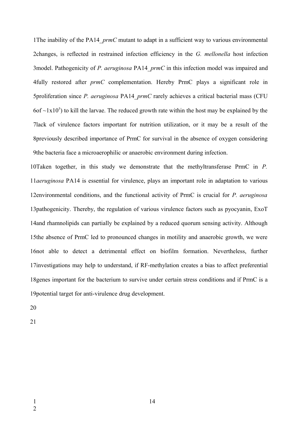The inability of the PA14\_*prmC* mutant to adapt in a sufficient way to various environmental 1 2changes, is reflected in restrained infection efficiency in the *G. mellonella* host infection 3model. Pathogenicity of *P. aeruginosa* PA14\_*prmC* in this infection model was impaired and fully restored after *prmC* complementation. Hereby PrmC plays a significant role in 4 5proliferation since *P. aeruginosa* PA14\_*prmC* rarely achieves a critical bacterial mass (CFU  $6$ of ~1x10<sup>5</sup>) to kill the larvae. The reduced growth rate within the host may be explained by the 7lack of virulence factors important for nutrition utilization, or it may be a result of the 8previously described importance of PrmC for survival in the absence of oxygen considering 9the bacteria face a microaerophilic or anaerobic environment during infection.

10Taken together, in this study we demonstrate that the methyltransferase PrmC in *P*. 11*aeruginosa* PA14 is essential for virulence, plays an important role in adaptation to various 12environmental conditions, and the functional activity of PrmC is crucial for *P. aeruginosa* 13 pathogenicity. Thereby, the regulation of various virulence factors such as pyocyanin, ExoT 14 and rhamnolipids can partially be explained by a reduced quorum sensing activity. Although 15the absence of PrmC led to pronounced changes in motility and anaerobic growth, we were 16 not able to detect a detrimental effect on biofilm formation. Nevertheless, further 17 investigations may help to understand, if RF-methylation creates a bias to affect preferential 18 genes important for the bacterium to survive under certain stress conditions and if PrmC is a 19 potential target for anti-virulence drug development.

20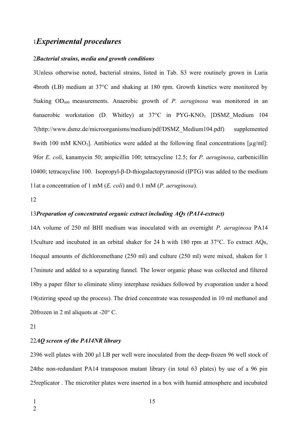# *Experimental procedures* 1

#### *Bacterial strains, media and growth conditions* 2

3Unless otherwise noted, bacterial strains, listed in Tab. S3 were routinely grown in Luria broth (LB) medium at 37°C and shaking at 180 rpm. Growth kinetics were monitored by 4 5taking OD<sub>600</sub> measurements. Anaerobic growth of *P. aeruginosa* was monitored in an 6anaerobic workstation (D. Whitley) at 37°C in PYG-KNO<sub>3</sub> [DSMZ\_Medium 104 7[\(http://www.dsmz.de/microorganisms/medium/pdf/DSMZ\\_Medium104.pdf\)](http://www.dsmz.de/microorganisms/medium/pdf/DSMZ_Medium104.pdf) supplemented 8with 100 mM KNO<sub>3</sub>]. Antibiotics were added at the following final concentrations [ $\mu$ g/ml]: 9for *E. coli*, kanamycin 50; ampicillin 100; tetracycline 12.5; for *P. aeruginosa*, carbenicillin 400; tetracaycline 100. Isopropyl-β-D-thiogalactopyranosid (IPTG) was added to the medium 10 11at a concentration of 1 mM (*E. coli*) and 0.1 mM (*P. aeruginosa*).

12

#### 13Preparation of concentrated organic extract including AQs (PA14-extract)

14A volume of 250 ml BHI medium was inoculated with an overnight *P. aeruginosa* PA14 15 culture and incubated in an orbital shaker for 24 h with 180 rpm at  $37^{\circ}$ C. To extract AQs, 16 equal amounts of dichloromethane (250 ml) and culture (250 ml) were mixed, shaken for 1 17 minute and added to a separating funnel. The lower organic phase was collected and filtered 18by a paper filter to eliminate slimy interphase residues followed by evaporation under a hood 19 (stirring speed up the process). The dried concentrate was resuspended in 10 ml methanol and 20 frozen in 2 ml aliquots at  $-20^{\circ}$  C.

21

#### 22AQ screen of the PA14NR library

2396 well plates with 200 µl LB per well were inoculated from the deep-frozen 96 well stock of 24the non-redundant PA14 transposon mutant library (in total 63 plates) by use of a 96 pin 25 replicator. The microtiter plates were inserted in a box with humid atmosphere and incubated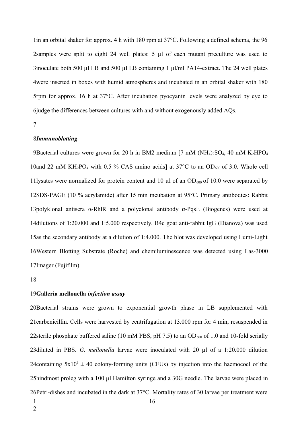lin an orbital shaker for approx. 4 h with 180 rpm at 37°C. Following a defined schema, the 96 2samples were split to eight 24 well plates:  $5 \mu l$  of each mutant preculture was used to 3inoculate both 500  $\mu$ l LB and 500  $\mu$ l LB containing 1  $\mu$ l/ml PA14-extract. The 24 well plates 4were inserted in boxes with humid atmospheres and incubated in an orbital shaker with 180 5rpm for approx. 16 h at  $37^{\circ}$ C. After incubation pyocyanin levels were analyzed by eye to bjudge the differences between cultures with and without exogenously added AQs.

7

#### 8Immunoblotting

9Bacterial cultures were grown for 20 h in BM2 medium [7 mM ( $NH<sub>4</sub>$ )<sub>2</sub>SO<sub>4</sub>, 40 mM K<sub>2</sub>HPO<sub>4</sub> 10and 22 mM KH<sub>2</sub>PO<sub>4</sub> with 0.5 % CAS amino acids] at 37°C to an OD<sub>600</sub> of 3.0. Whole cell 11lysates were normalized for protein content and 10  $\mu$ l of an OD<sub>600</sub> of 10.0 were separated by 12SDS-PAGE (10 % acrylamide) after 15 min incubation at 95°C. Primary antibodies: Rabbit 13 polyklonal antisera α-RhlR and a polyclonal antibody  $\alpha$ -PqsE (Biogenes) were used at 14 dilutions of 1:20.000 and 1:5.000 respectively. B4c goat anti-rabbit IgG (Dianova) was used 15as the secondary antibody at a dilution of 1:4.000. The blot was developed using Lumi-Light Western Blotting Substrate (Roche) and chemiluminescence was detected using Las-3000 16 17Imager (Fujifilm).

18

#### **Galleria mellonella** *infection assay* 19

20 Bacterial strains were grown to exponential growth phase in LB supplemented with 21 carbenicillin. Cells were harvested by centrifugation at 13.000 rpm for 4 min, resuspended in 22 sterile phosphate buffered saline (10 mM PBS, pH 7.5) to an  $OD_{600}$  of 1.0 and 10-fold serially 23 diluted in PBS. *G. mellonella* larvae were inoculated with 20 µl of a 1:20.000 dilution 24 containing  $5x10^2 \pm 40$  colony-forming units (CFUs) by injection into the haemocoel of the 25hindmost proleg with a 100 µl Hamilton syringe and a 30G needle. The larvae were placed in 26 Petri-dishes and incubated in the dark at  $37^{\circ}$ C. Mortality rates of 30 larvae per treatment were

1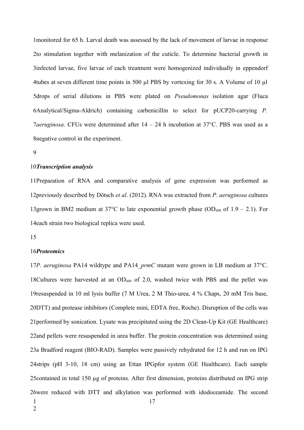monitored for 65 h. Larval death was assessed by the lack of movement of larvae in response 1 2to stimulation together with melanization of the cuticle. To determine bacterial growth in 3infected larvae, five larvae of each treatment were homogenized individually in eppendorf tubes at seven different time points in 500 µl PBS by vortexing for 30 s. A Volume of 10 µl 4 5drops of serial dilutions in PBS were plated on *Pseudomonas* isolation agar (Fluca Analytical/Sigma-Aldrich) containing carbenicillin to select for pUCP20-carrying *P.* 6 *aeruginosa*. CFUs were determined after 14 – 24 h incubation at 37°C. PBS was used as a 7 8 negative control in the experiment.

9

#### 10Transcription analysis

11Preparation of RNA and comparative analysis of gene expression was performed as previously described by Dötsch *et al*. (2012). RNA was extracted from *P. aeruginosa* cultures 12 13grown in BM2 medium at 37°C to late exponential growth phase (OD<sub>600</sub> of 1.9 – 2.1). For 14each strain two biological replica were used.

15

#### 16Proteomics

17P. aeruginosa PA14 wildtype and PA14\_prmC mutant were grown in LB medium at 37°C. 18Cultures were harvested at an  $OD_{600}$  of 2.0, washed twice with PBS and the pellet was 19 resuspended in 10 ml lysis buffer (7 M Urea, 2 M Thio-urea, 4 % Chaps, 20 mM Tris base, 20DTT) and protease inhibitors (Complete mini, EDTA free, Roche). Disruption of the cells was 21 performed by sonication. Lysate was precipitated using the 2D Clean-Up Kit (GE Healthcare) 22and pellets were resuspended in urea buffer. The protein concentration was determined using 23a Bradford reagent (BIO-RAD). Samples were passively rehydrated for 12 h and run on IPG 24strips (pH 3-10, 18 cm) using an Ettan IPGpfor system (GE Healthcare). Each sample 25 contained in total 150 µg of proteins. After first dimension, proteins distributed on IPG strip 26were reduced with DTT and alkylation was performed with idodoceamide. The second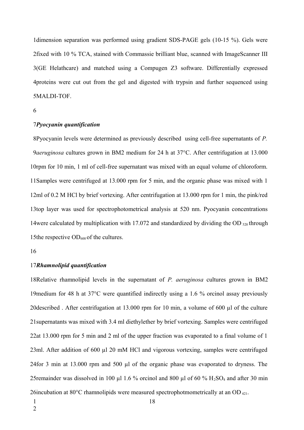1dimension separation was performed using gradient SDS-PAGE gels (10-15 %). Gels were 2fixed with 10 % TCA, stained with Commassie brilliant blue, scanned with ImageScanner III (GE Helathcare) and matched using a Compugen Z3 software. Differentially expressed 3 proteins were cut out from the gel and digested with trypsin and further sequenced using 4 MALDI-TOF. 5

#### *Pyocyanin quantification* 7

Pyocyanin levels were determined as previously described using cell-free supernatants of *P.* 8 9*aeruginosa* cultures grown in BM2 medium for 24 h at 37°C. After centrifugation at 13.000 10rpm for 10 min, 1 ml of cell-free supernatant was mixed with an equal volume of chloroform. 11 Samples were centrifuged at 13.000 rpm for 5 min, and the organic phase was mixed with 1 12ml of 0.2 M HCl by brief vortexing. After centrifugation at 13.000 rpm for 1 min, the pink/red 13top layer was used for spectrophotometrical analysis at 520 nm. Pyocyanin concentrations 14 were calculated by multiplication with 17.072 and standardized by dividing the OD  $_{520}$  through 15the respective  $OD_{600}$  of the cultures.

16

#### 17Rhamnolipid quantification

18Relative rhamnolipid levels in the supernatant of *P. aeruginosa* cultures grown in BM2 19 medium for 48 h at  $37^{\circ}$ C were quantified indirectly using a 1.6 % orcinol assay previously 20 described. After centrifugation at  $13.000$  rpm for 10 min, a volume of 600  $\mu$ l of the culture 21 supernatants was mixed with 3.4 ml diethylether by brief vortexing. Samples were centrifuged 22at 13.000 rpm for 5 min and 2 ml of the upper fraction was evaporated to a final volume of 1 23ml. After addition of 600  $\mu$ l 20 mM HCl and vigorous vortexing, samples were centrifuged 24 for 3 min at 13.000 rpm and 500  $\mu$ l of the organic phase was evaporated to dryness. The 25 remainder was dissolved in 100 µl 1.6 % orcinol and 800 µl of 60 %  $H_2SO_4$  and after 30 min 26 incubation at 80 $^{\circ}$ C rhamnolipids were measured spectrophotmometrically at an OD  $_{421}$ .

1

<sup>6</sup>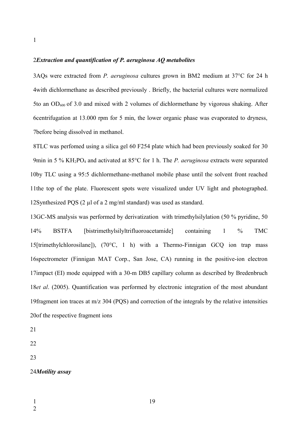#### *Extraction and quantification of P. aeruginosa AQ metabolites*  2

AQs were extracted from *P. aeruginosa* cultures grown in BM2 medium at 37°C for 24 h 3 4with dichlormethane as described previously. Briefly, the bacterial cultures were normalized 5to an  $OD_{600}$  of 3.0 and mixed with 2 volumes of dichlormethane by vigorous shaking. After centrifugation at 13.000 rpm for 5 min, the lower organic phase was evaporated to dryness, 6 before being dissolved in methanol. 7

TLC was perfomed using a silica gel 60 F254 plate which had been previously soaked for 30 8 9min in 5 % KH<sub>2</sub>PO<sub>4</sub> and activated at 85°C for 1 h. The *P. aeruginosa* extracts were separated 10by TLC using a 95:5 dichlormethane-methanol mobile phase until the solvent front reached 11the top of the plate. Fluorescent spots were visualized under UV light and photographed. 12Synthesized PQS  $(2 \mu l \text{ of a 2 mg/ml standard})$  was used as standard.

13GC-MS analysis was performed by derivatization with trimethylsilylation (50 % pyridine, 50 % BSTFA [bistrimethylsilyltrifluoroacetamide] containing 1 % TMC 15 [trimethylchlorosilane]),  $(70^{\circ}C, 1 h)$  with a Thermo-Finnigan GCQ ion trap mass 16 spectrometer (Finnigan MAT Corp., San Jose, CA) running in the positive-ion electron 17impact (EI) mode equipped with a 30-m DB5 capillary column as described by Bredenbruch 18et al. (2005). Quantification was performed by electronic integration of the most abundant 19 fragment ion traces at  $m/z$  304 (PQS) and correction of the integrals by the relative intensities 20of the respective fragment ions  $14%$ 

21

- 22
- 23

#### 24*Motility assay*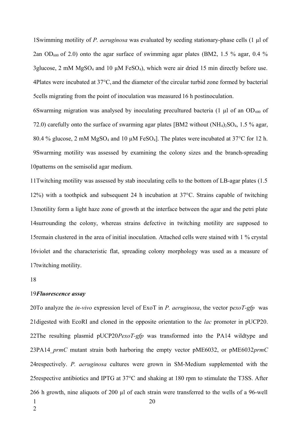Swimming motility of *P. aeruginosa* was evaluated by seeding stationary-phase cells (1 µl of 1 2an OD<sub>600</sub> of 2.0) onto the agar surface of swimming agar plates (BM2, 1.5 % agar, 0.4 % 3glucose, 2 mM  $MgSO_4$  and 10  $\mu$ M FeSO<sub>4</sub>), which were air dried 15 min directly before use. Plates were incubated at 37°C, and the diameter of the circular turbid zone formed by bacterial 4 5 cells migrating from the point of inoculation was measured 16 h postinoculation.

6Swarming migration was analysed by inoculating precultured bacteria (1  $\mu$ l of an OD<sub>600</sub> of 72.0) carefully onto the surface of swarming agar plates [BM2 without  $(NH<sub>4</sub>)<sub>2</sub>SO<sub>4</sub>$ , 1.5 % agar, 80.4 % glucose, 2 mM MgSO<sub>4</sub> and 10  $\mu$ M FeSO<sub>4</sub>]. The plates were incubated at 37°C for 12 h. Swarming motility was assessed by examining the colony sizes and the branch-spreading 9 10 patterns on the semisolid agar medium.

11Twitching motility was assessed by stab inoculating cells to the bottom of LB-agar plates (1.5) 12%) with a toothpick and subsequent 24 h incubation at  $37^{\circ}$ C. Strains capable of twitching 13 motility form a light haze zone of growth at the interface between the agar and the petri plate 14 surrounding the colony, whereas strains defective in twitching motility are supposed to 15 remain clustered in the area of initial inoculation. Attached cells were stained with 1 % crystal 16 violet and the characteristic flat, spreading colony morphology was used as a measure of 17twitching motility.

18

#### 19 Fluorescence assay

20To analyze the *in-vivo* expression level of ExoT in *P. aeruginosa*, the vector pexoT-gfp was 21 digested with EcoRI and cloned in the opposite orientation to the *lac* promoter in pUCP20. 22The resulting plasmid pUCP20*PexoT-gfp* was transformed into the PA14 wildtype and 23PA14 *prmC* mutant strain both harboring the empty vector pME6032, or pME6032*prmC* 24 respectively. P. aeruginosa cultures were grown in SM-Medium supplemented with the 25 respective antibiotics and IPTG at  $37^{\circ}$ C and shaking at 180 rpm to stimulate the T3SS. After 266 h growth, nine aliquots of 200  $\mu$ l of each strain were transferred to the wells of a 96-well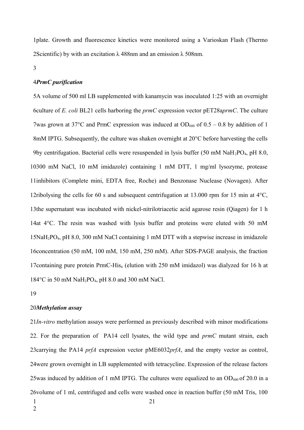plate. Growth and fluorescence kinetics were monitored using a Varioskan Flash (Thermo 1 2Scientific) by with an excitation  $\lambda$  488nm and an emission  $\lambda$  508nm.

#### 3

#### *PrmC purification*  4

5A volume of 500 ml LB supplemented with kanamycin was inoculated 1:25 with an overnight culture of *E. coli* BL21 cells harboring the *prmC* expression vector pET28a*prmC*. The culture 6 7 was grown at 37 $^{\circ}$ C and PrmC expression was induced at OD<sub>600</sub> of 0.5 – 0.8 by addition of 1 8mM IPTG. Subsequently, the culture was shaken overnight at 20°C before harvesting the cells 9by centrifugation. Bacterial cells were resuspended in lysis buffer (50 mM  $\text{NaH}_2\text{PO}_4$ , pH 8.0, 300 mM NaCl, 10 mM imidazole) containing 1 mM DTT, 1 mg/ml lysozyme, protease 10 11inhibitors (Complete mini, EDTA free, Roche) and Benzonase Nuclease (Novagen). After 12ribolysing the cells for 60 s and subsequent centrifugation at 13.000 rpm for 15 min at  $4^{\circ}$ C, 13the supernatant was incubated with nickel-nitrilotriacetic acid agarose resin (Qiagen) for 1 h 14at  $4^{\circ}$ C. The resin was washed with lysis buffer and proteins were eluted with 50 mM 15NaH<sub>2</sub>PO<sub>4</sub>, pH 8.0, 300 mM NaCl containing 1 mM DTT with a stepwise increase in imidazole 16 concentration (50 mM, 100 mM, 150 mM, 250 mM). After SDS-PAGE analysis, the fraction 17 containing pure protein PrmC-His $_6$  (elution with 250 mM imidazol) was dialyzed for 16 h at 184°C in 50 mM NaH<sub>2</sub>PO<sub>4</sub>, pH 8.0 and 300 mM NaCl.

19

#### *Methylation assay*  20

*In-vitro* methylation assays were performed as previously described with minor modifications 21 . For the preparation of PA14 cell lysates, the wild type and *prmC* mutant strain, each 22 23 carrying the PA14 *prfA* expression vector pME6032*prfA*, and the empty vector as control, 24 were grown overnight in LB supplemented with tetracycline. Expression of the release factors 25 was induced by addition of 1 mM IPTG. The cultures were equalized to an  $OD_{600}$  of 20.0 in a 26 volume of 1 ml, centrifuged and cells were washed once in reaction buffer (50 mM Tris, 100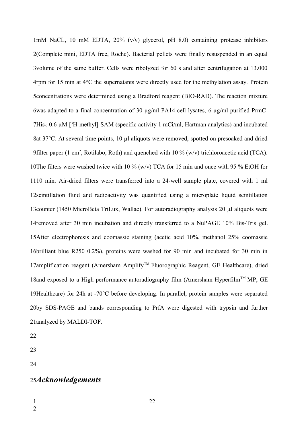mM NaCL, 10 mM EDTA, 20% (v/v) glycerol, pH 8.0) containing protease inhibitors 1 2(Complete mini, EDTA free, Roche). Bacterial pellets were finally resuspended in an equal 3volume of the same buffer. Cells were ribolyzed for 60 s and after centrifugation at 13.000  $4$ rpm for 15 min at  $4^{\circ}$ C the supernatants were directly used for the methylation assay. Protein 5 concentrations were determined using a Bradford reagent (BIO-RAD). The reaction mixture 6was adapted to a final concentration of 30  $\mu$ g/ml PA14 cell lysates, 6  $\mu$ g/ml purified PrmC-7His<sub>6,</sub> 0.6  $\mu$ M [<sup>3</sup>H-methyl]-SAM (specific activity 1 mCi/ml, Hartman analytics) and incubated 8at 37°C. At several time points, 10 µl aliquots were removed, spotted on presoaked and dried 9 filter paper (1 cm<sup>2</sup>, Rotilabo, Roth) and quenched with  $10\%$  (w/v) trichloroacetic acid (TCA). 10The filters were washed twice with 10 % (w/v) TCA for 15 min and once with 95 % EtOH for 1110 min. Air-dried filters were transferred into a 24-well sample plate, covered with 1 ml 12 scintillation fluid and radioactivity was quantified using a microplate liquid scintillation 13 counter (1450 MicroBeta TriLux, Wallac). For autoradiography analysis 20 µl aliquots were 14 removed after 30 min incubation and directly transferred to a NuPAGE 10% Bis-Tris gel. 15After electrophoresis and coomassie staining (acetic acid 10%, methanol 25% coomassie 16brilliant blue R250 0.2%), proteins were washed for 90 min and incubated for 30 min in 17amplification reagent (Amersham Amplify™ Fluorographic Reagent, GE Healthcare), dried 18 and exposed to a High performance autoradiography film (Amersham Hyperfilm<sup>TM</sup> MP, GE 19Healthcare) for 24h at -70°C before developing. In parallel, protein samples were separated 20by SDS-PAGE and bands corresponding to PrfA were digested with trypsin and further 21analyzed by MALDI-TOF.

22

23

24

# 25Acknowledgements

1

2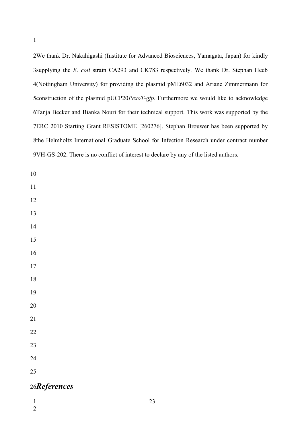We thank Dr. Nakahigashi (Institute for Advanced Biosciences, Yamagata, Japan) for kindly 3supplying the *E. coli* strain CA293 and CK783 respectively. We thank Dr. Stephan Heeb (Nottingham University) for providing the plasmid pME6032 and Ariane Zimmermann for 5 construction of the plasmid pUCP20*PexoT-gfp*. Furthermore we would like to acknowledge Tanja Becker and Bianka Nouri for their technical support. This work was supported by the ERC 2010 Starting Grant RESISTOME [260276]. Stephan Brouwer has been supported by 8the Helmholtz International Graduate School for Infection Research under contract number 9VH-GS-202. There is no conflict of interest to declare by any of the listed authors.

- 
- 
- 
- 
- 
- 
- 
- 
- 
- 
- 
- 
- 
- 
- 
- 

# **References**

- 
-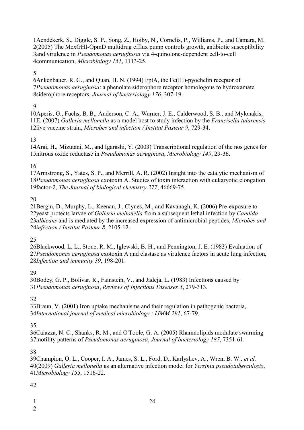1 Aendekerk, S., Diggle, S. P., Song, Z., Hoiby, N., Cornelis, P., Williams, P., and Camara, M. (2005) The MexGHI-OpmD multidrug efflux pump controls growth, antibiotic susceptibility 2 3 and virulence in *Pseudomonas aeruginosa* via 4-quinolone-dependent cell-to-cell communication, *Microbiology 151*, 1113-25. 4

#### 5

Ankenbauer, R. G., and Quan, H. N. (1994) FptA, the Fe(III)-pyochelin receptor of 6 *Pseudomonas aeruginosa*: a phenolate siderophore receptor homologous to hydroxamate 7 siderophore receptors, *Journal of bacteriology 176*, 307-19. 8

### $\overline{Q}$

10 Aperis, G., Fuchs, B. B., Anderson, C. A., Warner, J. E., Calderwood, S. B., and Mylonakis, E. (2007) *Galleria mellonella* as a model host to study infection by the *Francisella tularensis* 11 12live vaccine strain, *Microbes and infection / Institut Pasteur 9*, 729-34.

#### 13

14 Arai, H., Mizutani, M., and Igarashi, Y. (2003) Transcriptional regulation of the nos genes for 15nitrous oxide reductase in *Pseudomonas aeruginosa*, *Microbiology* 149, 29-36.

#### 16

17 Armstrong, S., Yates, S. P., and Merrill, A. R. (2002) Insight into the catalytic mechanism of 18Pseudomonas aeruginosa exotoxin A. Studies of toxin interaction with eukaryotic elongation 19factor-2, *The Journal of biological chemistry* 277, 46669-75.

#### 20

21 Bergin, D., Murphy, L., Keenan, J., Clynes, M., and Kavanagh, K. (2006) Pre-exposure to 22 yeast protects larvae of *Galleria mellonella* from a subsequent lethal infection by *Candida albicans* and is mediated by the increased expression of antimicrobial peptides, *Microbes and* 23 *infection / Institut Pasteur 8*, 2105-12. 24

### 25

26Blackwood, L. L., Stone, R. M., Iglewski, B. H., and Pennington, J. E. (1983) Evaluation of 27Pseudomonas aeruginosa exotoxin A and elastase as virulence factors in acute lung infection, *Infection and immunity 39*, 198-201. 28

### 29

30Bodey, G. P., Bolivar, R., Fainstein, V., and Jadeja, L. (1983) Infections caused by *Pseudomonas aeruginosa*, *Reviews of Infectious Diseases 5*, 279-313. 31

### 32

33 Braun, V. (2001) Iron uptake mechanisms and their regulation in pathogenic bacteria, *International journal of medical microbiology : IJMM 291*, 67-79. 34

### 35

36Caiazza, N. C., Shanks, R. M., and O'Toole, G. A. (2005) Rhamnolipids modulate swarming motility patterns of *Pseudomonas aeruginosa*, *Journal of bacteriology 187*, 7351-61. 37

#### 38

39Champion, O. L., Cooper, I. A., James, S. L., Ford, D., Karlyshev, A., Wren, B. W., et al. (2009) *Galleria mellonella* as an alternative infection model for *Yersinia pseudotuberculosis*, 40 *Microbiology 155*, 1516-22. 41

### 42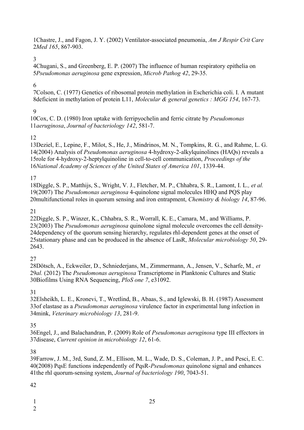Chastre, J., and Fagon, J. Y. (2002) Ventilator-associated pneumonia, *Am J Respir Crit Care*  1 *Med 165*, 867-903. 2

3

Chugani, S., and Greenberg, E. P. (2007) The influence of human respiratory epithelia on 4 *Pseudomonas aeruginosa* gene expression, *Microb Pathog 42*, 29-35. 5

### 6

7 Colson, C. (1977) Genetics of ribosomal protein methylation in Escherichia coli. I. A mutant 8deficient in methylation of protein L11, *Molecular & general genetics : MGG 154*, 167-73.

### **9**

10Cox, C. D. (1980) Iron uptake with ferripyochelin and ferric citrate by *Pseudomonas aeruginosa*, *Journal of bacteriology 142*, 581-7. 11

### 12

13Deziel, E., Lepine, F., Milot, S., He, J., Mindrinos, M. N., Tompkins, R. G., and Rahme, L. G. (2004) Analysis of *Pseudomonas aeruginosa* 4-hydroxy-2-alkylquinolines (HAQs) reveals a 14 15role for 4-hydroxy-2-heptylquinoline in cell-to-cell communication, *Proceedings of the National Academy of Sciences of the United States of America 101*, 1339-44. 16

17

18Diggle, S. P., Matthijs, S., Wright, V. J., Fletcher, M. P., Chhabra, S. R., Lamont, I. L., et al. (2007) The *Pseudomonas aeruginosa* 4-quinolone signal molecules HHQ and PQS play 19 20 multifunctional roles in quorum sensing and iron entrapment, *Chemistry & biology 14*, 87-96.

### 21

22Diggle, S. P., Winzer, K., Chhabra, S. R., Worrall, K. E., Camara, M., and Williams, P. 23(2003) The *Pseudomonas aeruginosa* quinolone signal molecule overcomes the cell density-24 dependency of the quorum sensing hierarchy, regulates rhl-dependent genes at the onset of 25 stationary phase and can be produced in the absence of LasR, *Molecular microbiology* 50, 29-2643.

27

28Dötsch, A., Eckweiler, D., Schniederjans, M., Zimmermann, A., Jensen, V., Scharfe, M., et 29al. (2012) The *Pseudomonas aeruginosa* Transcriptome in Planktonic Cultures and Static Biofilms Using RNA Sequencing, *PloS one 7*, e31092. 30

31

32Elsheikh, L. E., Kronevi, T., Wretlind, B., Abaas, S., and Iglewski, B. H. (1987) Assessment 33 of elastase as a *Pseudomonas aeruginosa* virulence factor in experimental lung infection in 34mink, Veterinary microbiology 13, 281-9.

35

Engel, J., and Balachandran, P. (2009) Role of *Pseudomonas aeruginosa* type III effectors in 36 37 disease, *Current opinion in microbiology* 12, 61-6.

38

39Farrow, J. M., 3rd, Sund, Z. M., Ellison, M. L., Wade, D. S., Coleman, J. P., and Pesci, E. C. (2008) PqsE functions independently of PqsR-*Pseudomonas* quinolone signal and enhances 40 41the rhl quorum-sensing system, *Journal of bacteriology* 190, 7043-51.

42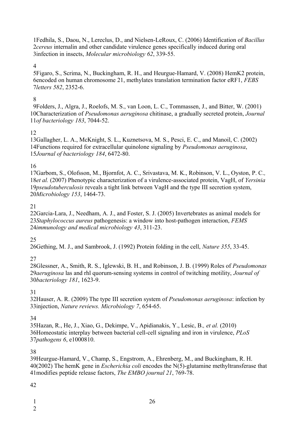Fedhila, S., Daou, N., Lereclus, D., and Nielsen-LeRoux, C. (2006) Identification of *Bacillus cereus* internalin and other candidate virulence genes specifically induced during oral 3infection in insects, *Molecular microbiology* 62, 339-55.

#### 

5 Figaro, S., Scrima, N., Buckingham, R. H., and Heurgue-Hamard, V. (2008) Hem K2 protein, encoded on human chromosome 21, methylates translation termination factor eRF1, *FEBS letters 582*, 2352-6.

### 

Folders, J., Algra, J., Roelofs, M. S., van Loon, L. C., Tommassen, J., and Bitter, W. (2001) 10Characterization of *Pseudomonas aeruginosa* chitinase, a gradually secreted protein, *Journal of bacteriology 183*, 7044-52.

### 

13Gallagher, L. A., McKnight, S. L., Kuznetsova, M. S., Pesci, E. C., and Manoil, C. (2002) 14 Functions required for extracellular quinolone signaling by *Pseudomonas aeruginosa*, *Journal of bacteriology 184*, 6472-80.

### 

17Garbom, S., Olofsson, M., Bjornfot, A. C., Srivastava, M. K., Robinson, V. L., Oyston, P. C., 18et al. (2007) Phenotypic characterization of a virulence-associated protein, VagH, of *Yersinia* 19pseudotuberculosis reveals a tight link between VagH and the type III secretion system, *Microbiology 153*, 1464-73.

### 

22 Garcia-Lara, J., Needham, A. J., and Foster, S. J. (2005) Invertebrates as animal models for *Staphylococcus aureus* pathogenesis: a window into host-pathogen interaction, *FEMS immunology and medical microbiology 43*, 311-23.

### 

26Gething, M. J., and Sambrook, J. (1992) Protein folding in the cell, *Nature* 355, 33-45.

### 

28Glessner, A., Smith, R. S., Iglewski, B. H., and Robinson, J. B. (1999) Roles of *Pseudomonas aeruginosa* las and rhl quorum-sensing systems in control of twitching motility, *Journal of bacteriology 181*, 1623-9.

### 

32Hauser, A. R. (2009) The type III secretion system of *Pseudomonas aeruginosa*: infection by 33injection, *Nature reviews. Microbiology* 7, 654-65.

### 

35 Hazan, R., He, J., Xiao, G., Dekimpe, V., Apidianakis, Y., Lesic, B., et al. (2010) 36Homeostatic interplay between bacterial cell-cell signaling and iron in virulence, *PLoS pathogens 6*, e1000810.

### 

39Heurgue-Hamard, V., Champ, S., Engstrom, A., Ehrenberg, M., and Buckingham, R. H. (2002) The hemK gene in *Escherichia coli* encodes the N(5)-glutamine methyltransferase that modifies peptide release factors, *The EMBO journal 21*, 769-78.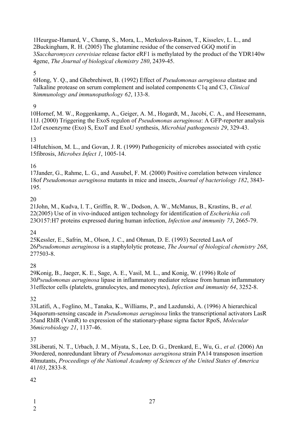1Heurgue-Hamard, V., Champ, S., Mora, L., Merkulova-Rainon, T., Kisselev, L. L., and 2Buckingham, R. H. (2005) The glutamine residue of the conserved GGQ motif in *Saccharomyces cerevisiae* release factor eRF1 is methylated by the product of the YDR140w 3 gene, *The Journal of biological chemistry 280*, 2439-45. 4

#### 5

6Hong, Y. Q., and Ghebrehiwet, B. (1992) Effect of *Pseudomonas aeruginosa* elastase and 7alkaline protease on serum complement and isolated components C1q and C3, *Clinical immunology and immunopathology 62*, 133-8. 8

#### $\overline{Q}$

10Hornef, M. W., Roggenkamp, A., Geiger, A. M., Hogardt, M., Jacobi, C. A., and Heesemann, 11J. (2000) Triggering the ExoS regulon of *Pseudomonas aeruginosa*: A GFP-reporter analysis 12of exoenzyme (Exo) S, ExoT and ExoU synthesis, *Microbial pathogenesis* 29, 329-43.

#### 13

14Hutchison, M. L., and Govan, J. R. (1999) Pathogenicity of microbes associated with cystic fibrosis, *Microbes Infect 1*, 1005-14. 15

#### 16

17Jander, G., Rahme, L. G., and Ausubel, F. M. (2000) Positive correlation between virulence 18of Pseudomonas aeruginosa mutants in mice and insects, *Journal of bacteriology* 182, 3843-195.

#### 20

21John, M., Kudva, I. T., Griffin, R. W., Dodson, A. W., McManus, B., Krastins, B., et al. (2005) Use of in vivo-induced antigen technology for identification of *Escherichia col*i 22 23O157:H7 proteins expressed during human infection, *Infection and immunity* 73, 2665-79.

### 24

25 Kessler, E., Safrin, M., Olson, J. C., and Ohman, D. E. (1993) Secreted LasA of *Pseudomonas aeruginosa* is a staphylolytic protease, *The Journal of biological chemistry 268*, 26 277503-8.

#### 28

29 Konig, B., Jaeger, K. E., Sage, A. E., Vasil, M. L., and Konig, W. (1996) Role of *Pseudomonas aeruginosa* lipase in inflammatory mediator release from human inflammatory 30 31 effector cells (platelets, granulocytes, and monocytes), *Infection and immunity* 64, 3252-8.

#### 32

33Latifi, A., Foglino, M., Tanaka, K., Williams, P., and Lazdunski, A. (1996) A hierarchical 34 quorum-sensing cascade in *Pseudomonas aeruginosa* links the transcriptional activators LasR 35 and RhIR (VsmR) to expression of the stationary-phase sigma factor RpoS, Molecular *microbiology 21*, 1137-46. 36

#### 37

38Liberati, N. T., Urbach, J. M., Miyata, S., Lee, D. G., Drenkard, E., Wu, G., et al. (2006) An 39ordered, nonredundant library of *Pseudomonas aeruginosa* strain PA14 transposon insertion 40mutants, *Proceedings of the National Academy of Sciences of the United States of America 103*, 2833-8. 41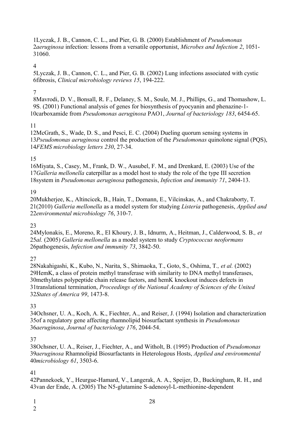Lyczak, J. B., Cannon, C. L., and Pier, G. B. (2000) Establishment of *Pseudomonas*  1 *aeruginosa* infection: lessons from a versatile opportunist, *Microbes and Infection 2*, 1051- 2 31060.

4

Lyczak, J. B., Cannon, C. L., and Pier, G. B. (2002) Lung infections associated with cystic 5 fibrosis, *Clinical microbiology reviews 15*, 194-222. 6

### 7

8Mavrodi, D. V., Bonsall, R. F., Delaney, S. M., Soule, M. J., Phillips, G., and Thomashow, L. 9S. (2001) Functional analysis of genes for biosynthesis of pyocyanin and phenazine-1-10carboxamide from *Pseudomonas aeruginosa* PAO1, *Journal of bacteriology* 183, 6454-65.

### 11

12McGrath, S., Wade, D. S., and Pesci, E. C. (2004) Dueling quorum sensing systems in 13Pseudomonas aeruginosa control the production of the *Pseudomonas* quinolone signal (PQS), *FEMS microbiology letters 230*, 27-34. 14

### 15

16Miyata, S., Casey, M., Frank, D. W., Ausubel, F. M., and Drenkard, E. (2003) Use of the 17 Galleria mellonella caterpillar as a model host to study the role of the type III secretion 18 system in *Pseudomonas aeruginosa* pathogenesis, *Infection and immunity* 71, 2404-13.

### 19

20 Mukherjee, K., Altincicek, B., Hain, T., Domann, E., Vilcinskas, A., and Chakraborty, T. (2010) *Galleria mellonella* as a model system for studying *Listeria* pathogenesis, *Applied and* 21 *environmental microbiology 76*, 310-7. 22

### 23

24Mylonakis, E., Moreno, R., El Khoury, J. B., Idnurm, A., Heitman, J., Calderwood, S. B., et *al.* (2005) *Galleria mellonella* as a model system to study *Cryptococcus neoformans* 25 26pathogenesis, *Infection and immunity* 73, 3842-50.

### 27

28Nakahigashi, K., Kubo, N., Narita, S., Shimaoka, T., Goto, S., Oshima, T., et al. (2002) 29HemK, a class of protein methyl transferase with similarity to DNA methyl transferases, 30 methylates polypeptide chain release factors, and hemK knockout induces defects in 31translational termination, *Proceedings of the National Academy of Sciences of the United States of America 99*, 1473-8. 32

### 33

34Ochsner, U. A., Koch, A. K., Fiechter, A., and Reiser, J. (1994) Isolation and characterization 35 of a regulatory gene affecting rhamnolipid biosurfactant synthesis in *Pseudomonas aeruginosa*, *Journal of bacteriology 176*, 2044-54. 36

### 37

38Ochsner, U. A., Reiser, J., Fiechter, A., and Witholt, B. (1995) Production of *Pseudomonas aeruginosa* Rhamnolipid Biosurfactants in Heterologous Hosts, *Applied and environmental*  39 *microbiology 61*, 3503-6. 40

### 41

42Pannekoek, Y., Heurgue-Hamard, V., Langerak, A. A., Speijer, D., Buckingham, R. H., and 43 van der Ende, A. (2005) The N5-glutamine S-adenosyl-L-methionine-dependent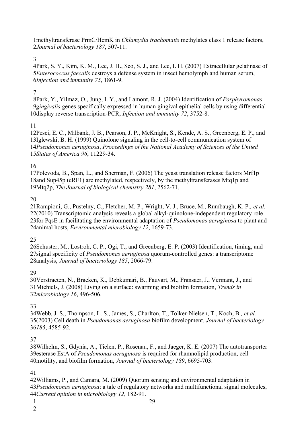methyltransferase PrmC/HemK in *Chlamydia trachomatis* methylates class 1 release factors, *Journal of bacteriology 187*, 507-11.

#### 

Park, S. Y., Kim, K. M., Lee, J. H., Seo, S. J., and Lee, I. H. (2007) Extracellular gelatinase of *Enterococcus faecalis* destroys a defense system in insect hemolymph and human serum, *Infection and immunity 75*, 1861-9.

#### 

Park, Y., Yilmaz, O., Jung, I. Y., and Lamont, R. J. (2004) Identification of *Porphyromonas gingivalis* genes specifically expressed in human gingival epithelial cells by using differential 10display reverse transcription-PCR, *Infection and immunity* 72, 3752-8.

#### 

12Pesci, E. C., Milbank, J. B., Pearson, J. P., McKnight, S., Kende, A. S., Greenberg, E. P., and 13Iglewski, B. H. (1999) Quinolone signaling in the cell-to-cell communication system of *Pseudomonas aeruginosa*, *Proceedings of the National Academy of Sciences of the United States of America 96*, 11229-34.

#### 

17Polevoda, B., Span, L., and Sherman, F. (2006) The yeast translation release factors Mrf1p 18 and Sup45p (eRF1) are methylated, respectively, by the methyltransferases Mtq1p and Mtq2p, *The Journal of biological chemistry 281*, 2562-71.

#### 

21 Rampioni, G., Pustelny, C., Fletcher, M. P., Wright, V. J., Bruce, M., Rumbaugh, K. P., et al. 22(2010) Transcriptomic analysis reveals a global alkyl-quinolone-independent regulatory role 23 for PqsE in facilitating the environmental adaptation of *Pseudomonas aeruginosa* to plant and 24animal hosts, *Environmental microbiology* 12, 1659-73.

#### 

26 Schuster, M., Lostroh, C. P., Ogi, T., and Greenberg, E. P. (2003) Identification, timing, and 27 signal specificity of *Pseudomonas aeruginosa* quorum-controlled genes: a transcriptome 28analysis, *Journal of bacteriology* 185, 2066-79.

#### 

30Verstraeten, N., Braeken, K., Debkumari, B., Fauvart, M., Fransaer, J., Vermant, J., and 31 Michiels, J. (2008) Living on a surface: swarming and biofilm formation, *Trends in microbiology 16*, 496-506.

#### 

Webb, J. S., Thompson, L. S., James, S., Charlton, T., Tolker-Nielsen, T., Koch, B.*, et al.* (2003) Cell death in *Pseudomonas aeruginosa* biofilm development, *Journal of bacteriology 185*, 4585-92.

#### 

38Wilhelm, S., Gdynia, A., Tielen, P., Rosenau, F., and Jaeger, K. E. (2007) The autotransporter 39 esterase EstA of *Pseudomonas aeruginosa* is required for rhamnolipid production, cell motility, and biofilm formation, *Journal of bacteriology 189*, 6695-703.

#### 

Williams, P., and Camara, M. (2009) Quorum sensing and environmental adaptation in *Pseudomonas aeruginosa*: a tale of regulatory networks and multifunctional signal molecules, *Current opinion in microbiology 12*, 182-91.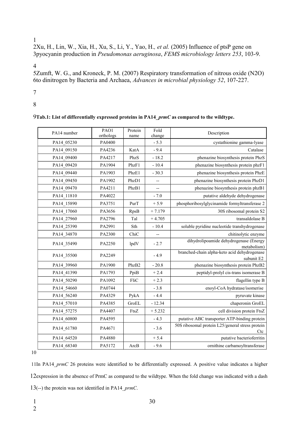#### 1

2Xu, H., Lin, W., Xia, H., Xu, S., Li, Y., Yao, H., et al. (2005) Influence of ptsP gene on pyocyanin production in *Pseudomonas aeruginosa*, *FEMS microbiology letters 253*, 103-9. 3

4

5Zumft, W. G., and Kroneck, P. M. (2007) Respiratory transformation of nitrous oxide (N2O) to dinitrogen by Bacteria and Archaea, *Advances in microbial physiology 52*, 107-227. 6

7

8

| PA14 number | PAO1<br>orthologs | Protein<br>name | Fold<br>change           | Description                                                |
|-------------|-------------------|-----------------|--------------------------|------------------------------------------------------------|
| PA14_05230  | PA0400            |                 | $-5.3$                   | cystathionine gamma-lyase                                  |
| PA14_09150  | PA4236            | KatA            | $-9.4$                   | Catalase                                                   |
| PA14 09400  | PA4217            | PhzS            | $-18.2$                  | phenazine biosynthesis protein PhzS                        |
| PA14 09420  | PA1904            | PhzF1           | $-10.4$                  | phenazine biosynthesis protein phzF1                       |
| PA14 09440  | PA1903            | PhzE1           | $-30.3$                  | phenazine biosynthesis protein PhzE                        |
| PA14 09450  | PA1902            | PhzD1           | $\overline{\phantom{a}}$ | phenazine biosynthesis protein PhzD1                       |
| PA14 09470  | PA4211            | PhzB1           | $\overline{\phantom{a}}$ | phenazine biosynthesis protein phzB1                       |
| PA14_11810  | PA4022            |                 | $-7.0$                   | putative aldehyde dehydrogenase                            |
| PA14_15890  | PA3751            | PurT            | $+5.9$                   | phosphoribosylglycinamide formyltransferase 2              |
| PA14 17060  | PA3656            | RpsB            | $+7.179$                 | 30S ribosomal protein S2                                   |
| PA14 27960  | PA2796            | Tal             | $+4.705$                 | transaldolase B                                            |
| PA14 25390  | PA2991            | Sth             | $-10.4$                  | soluble pyridine nucleotide transhydrogenase               |
| PA14_34870  | PA2300            | ChiC            | $\overline{\phantom{a}}$ | chitinolytic enzyme                                        |
| PA14_35490  | PA2250            | lpdV            | $-2.7$                   | dihydrolipoamide dehydrogenase (Energy<br>metabolism)      |
| PA14_35500  | PA2249            |                 | $-4.9$                   | branched-chain alpha-keto acid dehydrogenase<br>subunit E2 |
| PA14_39960  | PA1900            | PhzB2           | $-20.8$                  | phenazine biosynthesis protein PhzB2                       |
| PA14 41390  | PA1793            | PpiB            | $+2.4$                   | peptidyl-prolyl cis-trans isomerase B                      |
| PA14 50290  | PA1092            | FliC            | $+2.3$                   | flagellin type B                                           |
| PA14 54660  | PA0744            |                 | $-3.8$                   | enoyl-CoA hydratase/isomerise                              |
| PA14_56240  | PA4329            | PykA            | $-4.4$                   | pyruvate kinase                                            |
| PA14_57010  | PA4385            | GroEL           | $-12.34$                 | chaperonin GroEL                                           |
| PA14 57275  | PA4407            | FtsZ            | $+5.232$                 | cell division protein FtsZ                                 |
| PA14_60800  | PA4595            |                 | $-4.3$                   | putative ABC transporter ATP-binding protein               |
| PA14 61780  | PA4671            |                 | $-3.6$                   | 50S ribosomal protein L25/general stress protein<br>Ctc    |
| PA14_64520  | PA4880            |                 | $+ 5.4$                  | putative bacterioferritin                                  |
| PA14 68340  | PA5172            | ArcB            | $-9.6$                   | ornithine carbamoyltransferase                             |

10

11In PA14  $pmC$  26 proteins were identified to be differentially expressed. A positive value indicates a higher 12expression in the absence of PrmC as compared to the wildtype. When the fold change was indicated with a dash 13(--) the protein was not identified in PA14\_prmC.

1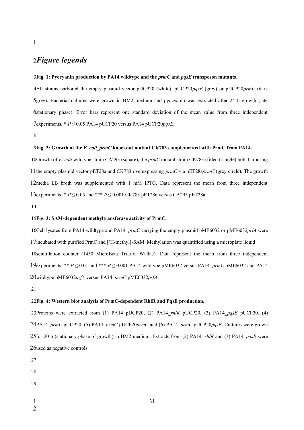# *Figure legends* 2

#### **Fig. 1: Pyocyanin production by PA14 wildtype and the** *prmC* **and** *pqsE* **transposon mutants**. 3

All strains harbored the empty plasmid vector pUCP20 (white), pUCP20*pqsE* (grey) or pUCP20*prmC* (dark 4 5grey). Bacterial cultures were grown in BM2 medium and pyocyanin was extracted after 24 h growth (late stationary phase). Error bars represent one standard deviation of the mean value from three independent 6 7experiments, \* *P* ≤ 0.05 PA14 pUCP20 versus PA14 pUCP20*pqsE*.

8

1

#### **Fig. 2: Growth of the** *E. coli\_prmC* **knockout mutant CK783 complemented with PrmC from PA14.**  9

10Growth of *E. coli* wildtype strain CA293 (square), the *prmC* mutant strain CK783 (filled triangle) both harboring 11the empty plasmid vector pET28a and CK783 overexpressing *prmC* via pET28a*prmC* (grey circle). The growth 12media LB broth was supplemented with 1 mM IPTG. Data represent the mean from three independent 13experiments, \*  $P \le 0.05$  and \*\*\*  $P \le 0.001$  CK783 pET28a versus CA293 pET28a.

14

#### **Fig. 3: SAM-dependent methyltransferase activity of PrmC.** 15

16Cell lysates from PA14 wildtype and PA14 *prmC* carrying the empty plasmid pME6032 or pME6032*prfA* were 17incubated with purified PrmC and [<sup>3</sup>H-methyl]-SAM. Methylation was quantified using a microplate liquid 18 scintillation counter (1450 MicroBeta TriLux, Wallac). Data represent the mean from three independent 19 experiments, \*\*  $P \le 0.01$  and \*\*\*  $P \le 0.001$  PA14 wildtype pME6032 versus PA14\_prmC pME6032 and PA14 20wildtype pME6032prfA versus PA14\_prmC pME6032prfA.

21

#### **Fig. 4: Western blot analysis of PrmC-dependent RhlR and PqsE production.** 22

23Proteins were extracted from (1) PA14 pUCP20, (2) PA14\_*rhlR* pUCP20, (3) PA14\_*pqsE* pUCP20, (4) PA14\_*prmC* pUCP20, (5) PA14\_*prmC* pUCP20*prmC* and (6) PA14\_*prmC* pUCP20*pqsE.* Cultures were grown 24 25 for 20 h (stationary phase of growth) in BM2 medium. Extracts from (2) PA14\_rhlR and (3) PA14\_pqsE were 26 used as negative controls.

27

- 29
- 1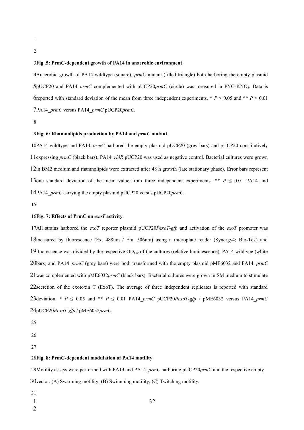- 1
- 2

#### **Fig .5: PrmC-dependent growth of PA14 in anaerobic environment**. 3

Anaerobic growth of PA14 wildtype (square), *prmC* mutant (filled triangle) both harboring the empty plasmid 4 5pUCP20 and PA14\_prmC complemented with pUCP20prmC (circle) was measured in PYG-KNO<sub>3</sub>. Data is 6reported with standard deviation of the mean from three independent experiments. \*  $P \le 0.05$  and \*\*  $P \le 0.01$ PA14\_*prmC* versus PA14\_*prmC* pUCP20*prmC*. 7

8

#### **Fig. 6: Rhamnolipids production by PA14 and** *prmC* **mutant**. 9

10PA14 wildtype and PA14  $prmC$  harbored the empty plasmid pUCP20 (grey bars) and pUCP20 constitutively 11expressing prmC (black bars). PA14\_rhlR pUCP20 was used as negative control. Bacterial cultures were grown 12in BM2 medium and rhamnolipids were extracted after 48 h growth (late stationary phase). Error bars represent 13one standard deviation of the mean value from three independent experiments. \*\*  $P \le 0.01$  PA14 and 14PA14\_prmC carrying the empty plasmid pUCP20 versus pUCP20prmC.

15

#### **Fig. 7: Effects of PrmC on** *exoT* **activity** 16

17All strains harbored the *exoT* reporter plasmid pUCP20*PexoT-gfp* and activation of the *exoT* promoter was 18 measured by fluorescence (Ex. 488nm / Em. 506nm) using a microplate reader (Synergy4; Bio-Tek) and 19fluorescence was divided by the respective  $OD_{600}$  of the cultures (relative luminescence). PA14 wildtype (white 20bars) and PA14\_prmC (grey bars) were both transformed with the empty plasmid pME6032 and PA14\_prmC  $21$  was complemented with pME6032 $prmC$  (black bars). Bacterial cultures were grown in SM medium to stimulate 22 secretion of the exotoxin T (ExoT). The average of three independent replicates is reported with standard 23 deviation. \*  $P \le 0.05$  and \*\*  $P \le 0.01$  PA14\_*prmC* pUCP20*PexoT-gfp* / pME6032 versus PA14\_*prmC* pUCP20*PexoT-gfp* / pME6032*prmC.* 24

25

26

27

#### **Fig. 8: PrmC-dependent modulation of PA14 motility** 28

29Motility assays were performed with PA14 and PA14 *prmC* harboring pUCP20*prmC* and the respective empty  $30$ vector. (A) Swarming motility; (B) Swimming motility; (C) Twitching motility.

- 31
- 1
- 2